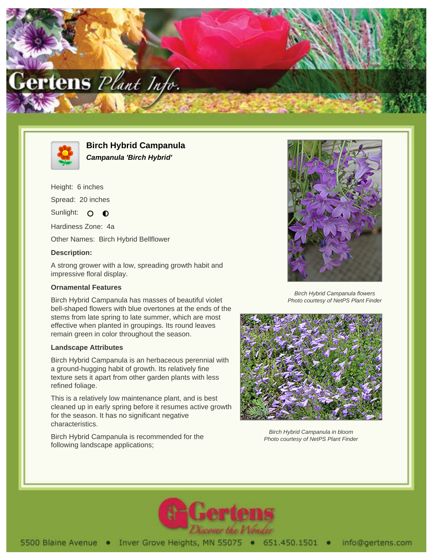



**Birch Hybrid Campanula Campanula 'Birch Hybrid'**

Height: 6 inches

Spread: 20 inches

Sunlight: O O

Hardiness Zone: 4a

Other Names: Birch Hybrid Bellflower

## **Description:**

A strong grower with a low, spreading growth habit and impressive floral display.

# **Ornamental Features**

Birch Hybrid Campanula has masses of beautiful violet bell-shaped flowers with blue overtones at the ends of the stems from late spring to late summer, which are most effective when planted in groupings. Its round leaves remain green in color throughout the season.

# **Landscape Attributes**

Birch Hybrid Campanula is an herbaceous perennial with a ground-hugging habit of growth. Its relatively fine texture sets it apart from other garden plants with less refined foliage.

This is a relatively low maintenance plant, and is best cleaned up in early spring before it resumes active growth for the season. It has no significant negative characteristics.

Birch Hybrid Campanula is recommended for the following landscape applications;



Birch Hybrid Campanula flowers Photo courtesy of NetPS Plant Finder



Birch Hybrid Campanula in bloom Photo courtesy of NetPS Plant Finder